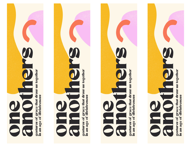



gestures of grace that draw us together<br>in an age of divisiveness